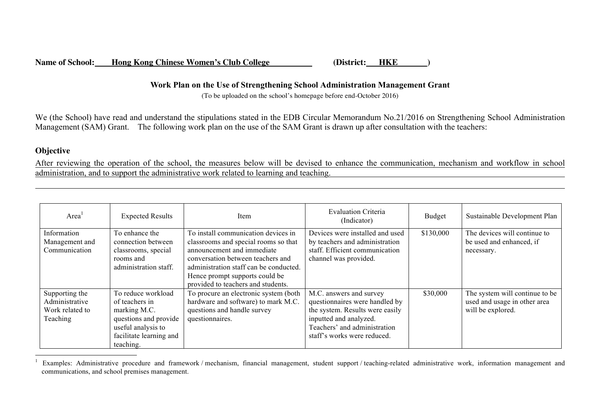## **Work Plan on the Use of Strengthening School Administration Management Grant**

(To be uploaded on the school's homepage before end-October 2016)

We (the School) have read and understand the stipulations stated in the EDB Circular Memorandum No.21/2016 on Strengthening School Administration Management (SAM) Grant. The following work plan on the use of the SAM Grant is drawn up after consultation with the teachers:

## **Objective**

 $\overline{a}$ 

After reviewing the operation of the school, the measures below will be devised to enhance the communication, mechanism and workflow in school administration, and to support the administrative work related to learning and teaching.

| Area <sup>1</sup>                                               | <b>Expected Results</b>                                                                                                                     | Item                                                                                                                                                                                                                                                             | <b>Evaluation Criteria</b><br>(Indicator)                                                                                                                                             | Budget    | Sustainable Development Plan                                                        |
|-----------------------------------------------------------------|---------------------------------------------------------------------------------------------------------------------------------------------|------------------------------------------------------------------------------------------------------------------------------------------------------------------------------------------------------------------------------------------------------------------|---------------------------------------------------------------------------------------------------------------------------------------------------------------------------------------|-----------|-------------------------------------------------------------------------------------|
| Information<br>Management and<br>Communication                  | To enhance the<br>connection between<br>classrooms, special<br>rooms and<br>administration staff.                                           | To install communication devices in<br>classrooms and special rooms so that<br>announcement and immediate<br>conversation between teachers and<br>administration staff can be conducted.<br>Hence prompt supports could be<br>provided to teachers and students. | Devices were installed and used<br>by teachers and administration<br>staff. Efficient communication<br>channel was provided.                                                          | \$130,000 | The devices will continue to<br>be used and enhanced, if<br>necessary.              |
| Supporting the<br>Administrative<br>Work related to<br>Teaching | To reduce workload<br>of teachers in<br>marking M.C.<br>questions and provide<br>useful analysis to<br>facilitate learning and<br>teaching. | To procure an electronic system (both<br>hardware and software) to mark M.C.<br>questions and handle survey<br>questionnaires.                                                                                                                                   | M.C. answers and survey<br>questionnaires were handled by<br>the system. Results were easily<br>inputted and analyzed.<br>Teachers' and administration<br>staff's works were reduced. | \$30,000  | The system will continue to be<br>used and usage in other area<br>will be explored. |

Examples: Administrative procedure and framework / mechanism, financial management, student support / teaching-related administrative work, information management and communications, and school premises management.